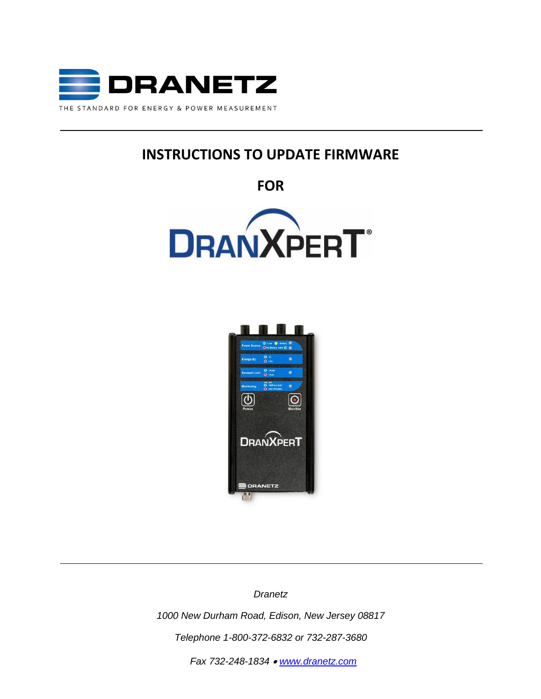

# **INSTRUCTIONS TO UPDATE FIRMWARE**

**FOR**





*Dranetz* 

*1000 New Durham Road, Edison, New Jersey 08817 Telephone 1-800-372-6832 or 732-287-3680*

*Fax 732-248-1834* • *[www.dranetz.com](http://www.dranetz-bmi.com/)*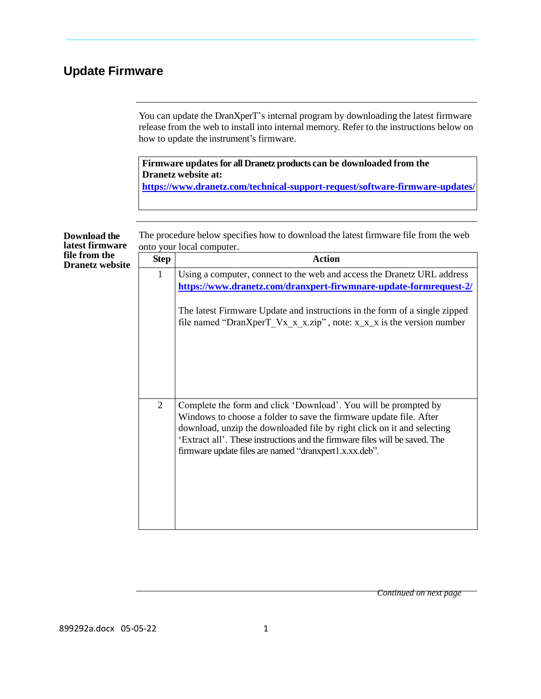## **Update Firmware**

You can update the DranXperT's internal program by downloading the latest firmware release from the web to install into internal memory. Refer to the instructions below on how to update the instrument's firmware.

**Firmware updates for all Dranetz products can be downloaded from the Dranetz website at: <https://www.dranetz.com/technical-support-request/software-firmware-updates/>**

| <b>Download the</b><br>latest firmware  | The procedure below specifies how to download the latest firmware file from the web<br>onto your local computer. |                                                                                                                                                                                                                                                                                                                                                          |  |  |  |
|-----------------------------------------|------------------------------------------------------------------------------------------------------------------|----------------------------------------------------------------------------------------------------------------------------------------------------------------------------------------------------------------------------------------------------------------------------------------------------------------------------------------------------------|--|--|--|
| file from the<br><b>Dranetz website</b> | <b>Step</b>                                                                                                      | <b>Action</b>                                                                                                                                                                                                                                                                                                                                            |  |  |  |
|                                         | 1                                                                                                                | Using a computer, connect to the web and access the Dranetz URL address<br>https://www.dranetz.com/dranxpert-firwmnare-update-formrequest-2/<br>The latest Firmware Update and instructions in the form of a single zipped<br>file named "DranXperT Vx x x.zip", note: $x_x x_x$ is the version number                                                   |  |  |  |
|                                         |                                                                                                                  |                                                                                                                                                                                                                                                                                                                                                          |  |  |  |
|                                         | $\overline{2}$                                                                                                   | Complete the form and click 'Download'. You will be prompted by<br>Windows to choose a folder to save the firmware update file. After<br>download, unzip the downloaded file by right click on it and selecting<br>'Extract all'. These instructions and the firmware files will be saved. The<br>firmware update files are named "dranxpert1.x.xx.deb". |  |  |  |

*Continued on next page*

899292a.docx 05-05-22 1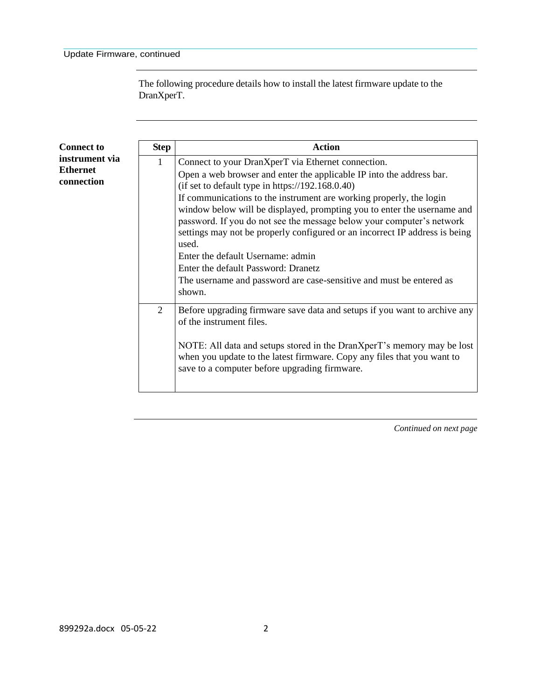The following procedure details how to install the latest firmware update to the DranXperT.

| <b>Connect to</b>                               | <b>Step</b>    | <b>Action</b>                                                                                                                                                                                                                                                                                                                                                                                                                                                                                                                                                                                                                                                  |
|-------------------------------------------------|----------------|----------------------------------------------------------------------------------------------------------------------------------------------------------------------------------------------------------------------------------------------------------------------------------------------------------------------------------------------------------------------------------------------------------------------------------------------------------------------------------------------------------------------------------------------------------------------------------------------------------------------------------------------------------------|
| instrument via<br><b>Ethernet</b><br>connection | 1              | Connect to your DranXperT via Ethernet connection.<br>Open a web browser and enter the applicable IP into the address bar.<br>(if set to default type in https://192.168.0.40)<br>If communications to the instrument are working properly, the login<br>window below will be displayed, prompting you to enter the username and<br>password. If you do not see the message below your computer's network<br>settings may not be properly configured or an incorrect IP address is being<br>used.<br>Enter the default Username: admin<br>Enter the default Password: Dranetz<br>The username and password are case-sensitive and must be entered as<br>shown. |
|                                                 | $\overline{2}$ | Before upgrading firmware save data and setups if you want to archive any<br>of the instrument files.<br>NOTE: All data and setups stored in the DranXperT's memory may be lost<br>when you update to the latest firmware. Copy any files that you want to<br>save to a computer before upgrading firmware.                                                                                                                                                                                                                                                                                                                                                    |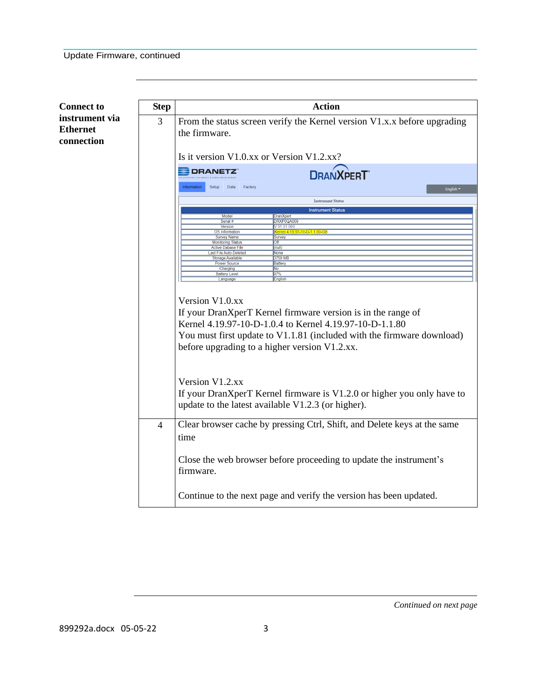| <b>Connect to</b>                               | <b>Step</b> | <b>Action</b>                                                                                                                                                                                                                                                                                                                                                                                                            |  |  |  |  |  |
|-------------------------------------------------|-------------|--------------------------------------------------------------------------------------------------------------------------------------------------------------------------------------------------------------------------------------------------------------------------------------------------------------------------------------------------------------------------------------------------------------------------|--|--|--|--|--|
| instrument via<br><b>Ethernet</b><br>connection | 3           | From the status screen verify the Kernel version V1.x.x before upgrading<br>the firmware.                                                                                                                                                                                                                                                                                                                                |  |  |  |  |  |
|                                                 |             | Is it version V1.0.xx or Version V1.2.xx?                                                                                                                                                                                                                                                                                                                                                                                |  |  |  |  |  |
|                                                 |             | <b>EDRANETZ</b><br><b>DRANXPERT</b><br>Information                                                                                                                                                                                                                                                                                                                                                                       |  |  |  |  |  |
|                                                 |             | Setup<br>Data<br>Factory<br>English *                                                                                                                                                                                                                                                                                                                                                                                    |  |  |  |  |  |
|                                                 |             | <b>Instrument Status</b>                                                                                                                                                                                                                                                                                                                                                                                                 |  |  |  |  |  |
|                                                 |             | <b>Instrument Status</b><br>Mode<br><b>DranXpert</b>                                                                                                                                                                                                                                                                                                                                                                     |  |  |  |  |  |
|                                                 |             | DRXP0QA009<br>Serial #                                                                                                                                                                                                                                                                                                                                                                                                   |  |  |  |  |  |
|                                                 |             | Version<br>V 01.01.080<br>Kernel 4.19.97-10-D-1.1.80-GE<br>OS Information                                                                                                                                                                                                                                                                                                                                                |  |  |  |  |  |
|                                                 |             | <b>Survey Name</b><br>Survey                                                                                                                                                                                                                                                                                                                                                                                             |  |  |  |  |  |
|                                                 |             | <b>Monitoring Status</b><br>$\overline{Off}$<br><b>Active Dabase File</b><br>(null)                                                                                                                                                                                                                                                                                                                                      |  |  |  |  |  |
|                                                 |             | Last File Auto-Deleted<br><b>None</b><br>3759 MB                                                                                                                                                                                                                                                                                                                                                                         |  |  |  |  |  |
|                                                 |             | <b>Storage Available</b><br><b>Power Source</b><br><b>Battery</b>                                                                                                                                                                                                                                                                                                                                                        |  |  |  |  |  |
|                                                 |             | Charging<br>No<br><b>Battery Level</b><br>97%                                                                                                                                                                                                                                                                                                                                                                            |  |  |  |  |  |
|                                                 |             | English<br>Language                                                                                                                                                                                                                                                                                                                                                                                                      |  |  |  |  |  |
|                                                 |             | Version V1.0.xx<br>If your DranXperT Kernel firmware version is in the range of<br>Kernel 4.19.97-10-D-1.0.4 to Kernel 4.19.97-10-D-1.1.80<br>You must first update to V1.1.81 (included with the firmware download)<br>before upgrading to a higher version V1.2.xx.<br>Version V1.2.xx<br>If your DranXperT Kernel firmware is V1.2.0 or higher you only have to<br>update to the latest available V1.2.3 (or higher). |  |  |  |  |  |
|                                                 | 4           | Clear browser cache by pressing Ctrl, Shift, and Delete keys at the same<br>time<br>Close the web browser before proceeding to update the instrument's<br>firmware.                                                                                                                                                                                                                                                      |  |  |  |  |  |
|                                                 |             | Continue to the next page and verify the version has been updated.                                                                                                                                                                                                                                                                                                                                                       |  |  |  |  |  |

899292a.docx 05-05-22 3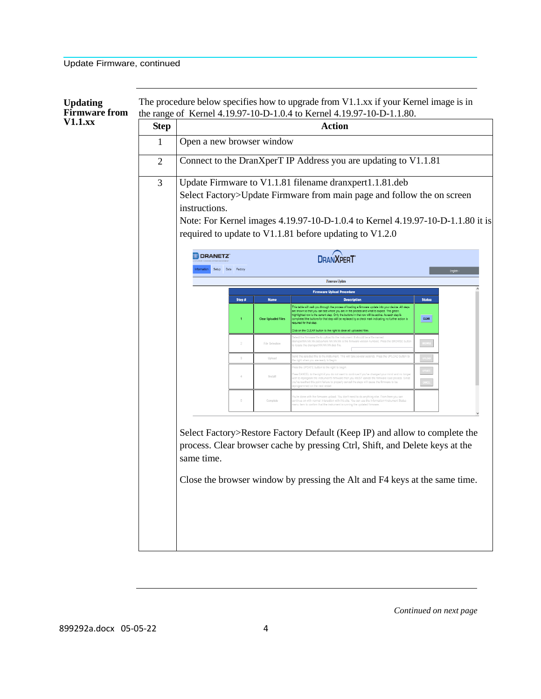| <b>Updating</b><br><b>Firmware</b> from |                |                                                                                                                                                                                                                                                                                                 |                             | The procedure below specifies how to upgrade from V1.1.xx if your Kernel image is in<br>the range of Kernel 4.19.97-10-D-1.0.4 to Kernel 4.19.97-10-D-1.1.80.                                                                                                                                                                                                                                                                                                                       |               |  |  |
|-----------------------------------------|----------------|-------------------------------------------------------------------------------------------------------------------------------------------------------------------------------------------------------------------------------------------------------------------------------------------------|-----------------------------|-------------------------------------------------------------------------------------------------------------------------------------------------------------------------------------------------------------------------------------------------------------------------------------------------------------------------------------------------------------------------------------------------------------------------------------------------------------------------------------|---------------|--|--|
| $V1.1$ . $xx$                           | <b>Step</b>    | <b>Action</b>                                                                                                                                                                                                                                                                                   |                             |                                                                                                                                                                                                                                                                                                                                                                                                                                                                                     |               |  |  |
|                                         | $\mathbf{1}$   | Open a new browser window                                                                                                                                                                                                                                                                       |                             |                                                                                                                                                                                                                                                                                                                                                                                                                                                                                     |               |  |  |
|                                         | $\overline{2}$ |                                                                                                                                                                                                                                                                                                 |                             | Connect to the DranXperT IP Address you are updating to V1.1.81                                                                                                                                                                                                                                                                                                                                                                                                                     |               |  |  |
|                                         | 3              | Update Firmware to V1.1.81 filename dranxpert1.1.81.deb<br>Select Factory>Update Firmware from main page and follow the on screen<br>instructions.<br>Note: For Kernel images 4.19.97-10-D-1.0.4 to Kernel 4.19.97-10-D-1.1.80 it is<br>required to update to V1.1.81 before updating to V1.2.0 |                             |                                                                                                                                                                                                                                                                                                                                                                                                                                                                                     |               |  |  |
|                                         |                | <b>DRANETZ</b><br>Setup Data Factory                                                                                                                                                                                                                                                            |                             | <b>DRANXPERT</b>                                                                                                                                                                                                                                                                                                                                                                                                                                                                    |               |  |  |
|                                         |                |                                                                                                                                                                                                                                                                                                 |                             | Firmware Update                                                                                                                                                                                                                                                                                                                                                                                                                                                                     |               |  |  |
|                                         |                | Step #                                                                                                                                                                                                                                                                                          | <b>Name</b>                 | <b>Firmware Upload Procedure</b><br><b>Description</b>                                                                                                                                                                                                                                                                                                                                                                                                                              | <b>Status</b> |  |  |
|                                         |                |                                                                                                                                                                                                                                                                                                 | <b>Clear Uploaded Files</b> | I walk you through the process of loading a firmware update into y<br>device. All steps<br>are shown so that you can see where you are in the process and what to expect. The green,<br>righlighted row is the current step. Only the buttons in that row will be active. As each step is<br>eted the buttons for that step will be replaced by a check mark indicating no further action is<br>ired for that step.<br>on the CLEAR button to the right to clear all uploaded files | <b>CLEAR</b>  |  |  |
|                                         |                |                                                                                                                                                                                                                                                                                                 | File Selection              | e file to upload to the instrument. It should be a file na<br>NN.NN.NN.deb/where NN.NN.NN is the firmware version number). Press the BRC                                                                                                                                                                                                                                                                                                                                            |               |  |  |
|                                         |                |                                                                                                                                                                                                                                                                                                 | Upload                      |                                                                                                                                                                                                                                                                                                                                                                                                                                                                                     |               |  |  |
|                                         |                |                                                                                                                                                                                                                                                                                                 | Install                     |                                                                                                                                                                                                                                                                                                                                                                                                                                                                                     |               |  |  |
|                                         |                |                                                                                                                                                                                                                                                                                                 | Complet                     | th the firmware upload. You don't need to do anything else. From here you can<br>nteraction with this site. You can use the Info<br>firm that the instrument is running the updated firr                                                                                                                                                                                                                                                                                            |               |  |  |
|                                         |                | same time.                                                                                                                                                                                                                                                                                      |                             | Select Factory>Restore Factory Default (Keep IP) and allow to complete the<br>process. Clear browser cache by pressing Ctrl, Shift, and Delete keys at the<br>Close the browser window by pressing the Alt and F4 keys at the same time.                                                                                                                                                                                                                                            |               |  |  |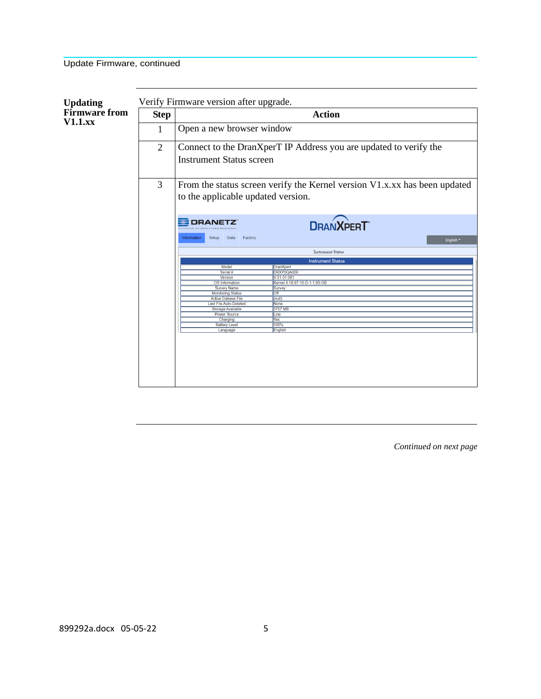| <b>Updating</b>                       | Verify Firmware version after upgrade. |                                                                                                                 |                                         |  |  |  |  |  |
|---------------------------------------|----------------------------------------|-----------------------------------------------------------------------------------------------------------------|-----------------------------------------|--|--|--|--|--|
| <b>Firmware</b> from<br>$V1.1$ . $XX$ | <b>Step</b>                            | <b>Action</b>                                                                                                   |                                         |  |  |  |  |  |
|                                       | 1                                      | Open a new browser window                                                                                       |                                         |  |  |  |  |  |
|                                       | $\overline{2}$                         | Connect to the DranXperT IP Address you are updated to verify the<br><b>Instrument Status screen</b>            |                                         |  |  |  |  |  |
|                                       | 3                                      | From the status screen verify the Kernel version V1.x.xx has been updated<br>to the applicable updated version. |                                         |  |  |  |  |  |
|                                       |                                        | <b>DRANETZ</b><br>Information<br>Setup<br>Data<br>Factory                                                       | <b>DRANXPERT</b>                        |  |  |  |  |  |
|                                       |                                        | English ~                                                                                                       |                                         |  |  |  |  |  |
|                                       |                                        | <b>Instrument Status</b>                                                                                        |                                         |  |  |  |  |  |
|                                       |                                        |                                                                                                                 | <b>Instrument Status</b>                |  |  |  |  |  |
|                                       |                                        | Model                                                                                                           | <b>DranXpert</b>                        |  |  |  |  |  |
|                                       |                                        | Serial #                                                                                                        | DRXP0QA009                              |  |  |  |  |  |
|                                       |                                        | <b>Version</b>                                                                                                  | V 01.01.081                             |  |  |  |  |  |
|                                       |                                        | OS Information<br><b>Survey Name</b>                                                                            | Kernel 4.19.97-10-D-1.1.80-GB<br>Survey |  |  |  |  |  |
|                                       |                                        | <b>Monitoring Status</b>                                                                                        | $\overline{\text{Off}}$                 |  |  |  |  |  |
|                                       |                                        | <b>Active Dabase File</b>                                                                                       | (null)                                  |  |  |  |  |  |
|                                       |                                        | Last File Auto-Deleted                                                                                          | None                                    |  |  |  |  |  |
|                                       |                                        | <b>Storage Available</b>                                                                                        | 3757 MB                                 |  |  |  |  |  |
|                                       |                                        | <b>Power Source</b>                                                                                             | Line                                    |  |  |  |  |  |
|                                       |                                        | Charging                                                                                                        | Yes                                     |  |  |  |  |  |
|                                       |                                        | <b>Battery Level</b>                                                                                            | 100%                                    |  |  |  |  |  |
|                                       |                                        | Language                                                                                                        | English                                 |  |  |  |  |  |
|                                       |                                        |                                                                                                                 |                                         |  |  |  |  |  |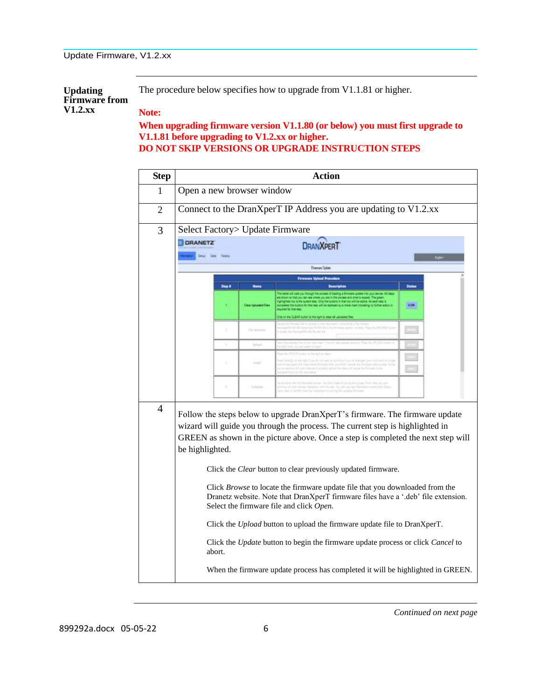| <b>Updating</b>      | The procedure below specifies how to upgrade from V1.1.81 or higher. |
|----------------------|----------------------------------------------------------------------|
| <b>Firmware from</b> |                                                                      |
| $V1.2$ .xx           | Note:                                                                |

**When upgrading firmware version V1.1.80 (or below) you must first upgrade to V1.1.81 before upgrading to V1.2.xx or higher. DO NOT SKIP VERSIONS OR UPGRADE INSTRUCTION STEPS**

| <b>Step</b>    | <b>Action</b>                                                                                                                                                                                                                                                                                                                                                                                                                                                                                                                                                                                                                                                                                                                 |        |                     |                                  |       |
|----------------|-------------------------------------------------------------------------------------------------------------------------------------------------------------------------------------------------------------------------------------------------------------------------------------------------------------------------------------------------------------------------------------------------------------------------------------------------------------------------------------------------------------------------------------------------------------------------------------------------------------------------------------------------------------------------------------------------------------------------------|--------|---------------------|----------------------------------|-------|
| 1              | Open a new browser window                                                                                                                                                                                                                                                                                                                                                                                                                                                                                                                                                                                                                                                                                                     |        |                     |                                  |       |
| $\overline{2}$ | Connect to the DranXperT IP Address you are updating to V1.2.xx                                                                                                                                                                                                                                                                                                                                                                                                                                                                                                                                                                                                                                                               |        |                     |                                  |       |
| 3              | Select Factory > Update Firmware                                                                                                                                                                                                                                                                                                                                                                                                                                                                                                                                                                                                                                                                                              |        |                     |                                  |       |
|                | <b>DRANETZ</b><br><b>DRANXPERT</b><br><b>Sela Date Falley</b>                                                                                                                                                                                                                                                                                                                                                                                                                                                                                                                                                                                                                                                                 |        |                     |                                  |       |
|                |                                                                                                                                                                                                                                                                                                                                                                                                                                                                                                                                                                                                                                                                                                                               |        |                     | Firmer/blas                      |       |
|                |                                                                                                                                                                                                                                                                                                                                                                                                                                                                                                                                                                                                                                                                                                                               |        |                     | <b>Firmwore Upland Procedure</b> |       |
|                |                                                                                                                                                                                                                                                                                                                                                                                                                                                                                                                                                                                                                                                                                                                               | Stap # |                     |                                  | State |
|                |                                                                                                                                                                                                                                                                                                                                                                                                                                                                                                                                                                                                                                                                                                                               |        | <b>Statistics</b> D |                                  | 8.94  |
|                |                                                                                                                                                                                                                                                                                                                                                                                                                                                                                                                                                                                                                                                                                                                               |        | Fix Season          |                                  |       |
|                |                                                                                                                                                                                                                                                                                                                                                                                                                                                                                                                                                                                                                                                                                                                               |        | <b>Tachand</b>      |                                  |       |
|                |                                                                                                                                                                                                                                                                                                                                                                                                                                                                                                                                                                                                                                                                                                                               |        |                     |                                  |       |
|                |                                                                                                                                                                                                                                                                                                                                                                                                                                                                                                                                                                                                                                                                                                                               | ×      |                     |                                  |       |
| 4              | Follow the steps below to upgrade DranXperT's firmware. The firmware update<br>wizard will guide you through the process. The current step is highlighted in<br>GREEN as shown in the picture above. Once a step is completed the next step will<br>be highlighted.<br>Click the Clear button to clear previously updated firmware.<br>Click Browse to locate the firmware update file that you downloaded from the<br>Dranetz website. Note that DranXperT firmware files have a '.deb' file extension.<br>Select the firmware file and click Open.<br>Click the Upload button to upload the firmware update file to DranXperT.<br>Click the Update button to begin the firmware update process or click Cancel to<br>abort. |        |                     |                                  |       |
|                | When the firmware update process has completed it will be highlighted in GREEN.                                                                                                                                                                                                                                                                                                                                                                                                                                                                                                                                                                                                                                               |        |                     |                                  |       |